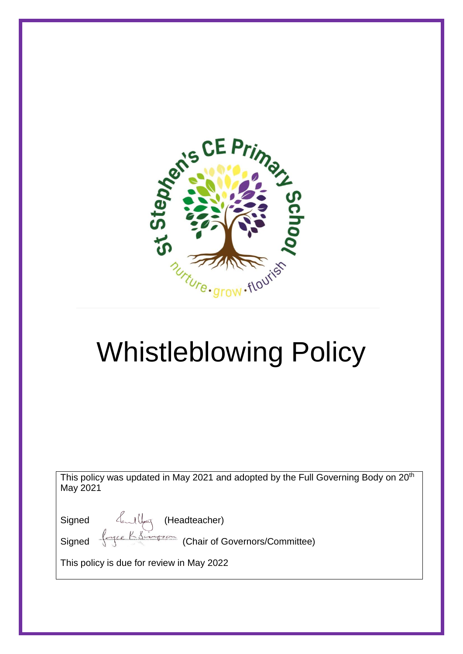

# Whistleblowing Policy

This policy was updated in May 2021 and adopted by the Full Governing Body on 20<sup>th</sup> May 2021

Signed (Headteacher)

Signed  $\leftarrow$  Kingson (Chair of Governors/Committee)

This policy is due for review in May 2022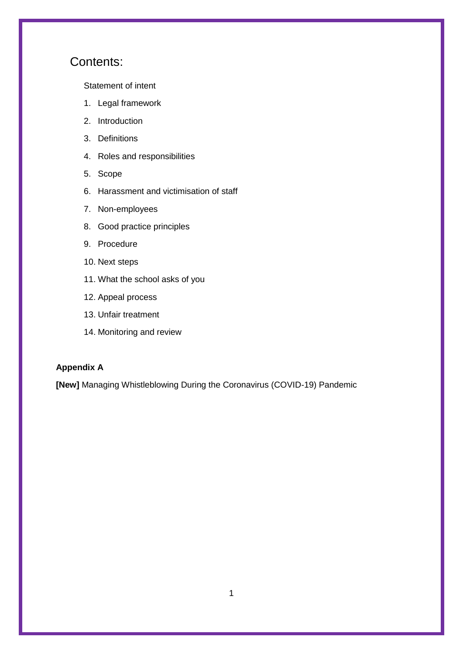## Contents:

[Statement of intent](#page-2-0)

- 1. [Legal framework](#page-3-0)
- 2. [Introduction](#page-3-1)
- 3. [Definitions](#page-3-2)
- 4. [Roles and responsibilities](#page-4-0)
- 5. [Scope](#page-5-0)
- 6. [Harassment and victimisation of staff](#page-6-0)
- 7. [Non-employees](#page-6-1)
- 8. [Good practice principles](#page-6-2)
- 9. [Procedure](#page-7-0)
- 10. [Next steps](#page-8-0)
- 11. [What the school asks of you](#page-10-0)
- 12. [Appeal process](#page-10-1)
- 13. [Unfair treatment](#page-10-2)
- 14. [Monitoring and review](#page-10-3)

#### **Appendix A**

**[New]** [Managing Whistleblowing During the Coronavirus \(COVID-19\) Pandemic](#page-11-0)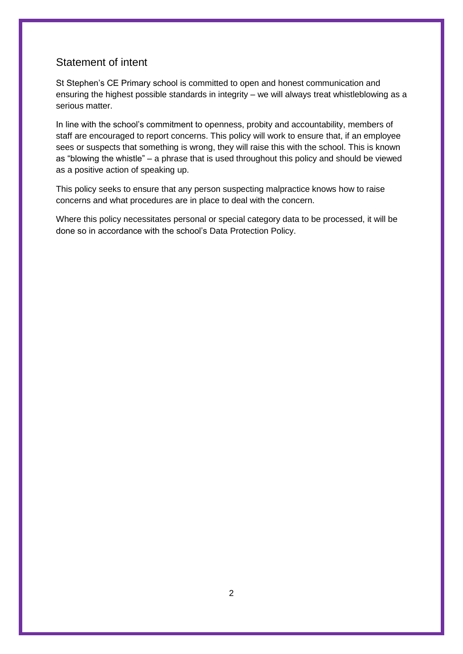## <span id="page-2-0"></span>Statement of intent

St Stephen's CE Primary school is committed to open and honest communication and ensuring the highest possible standards in integrity – we will always treat whistleblowing as a serious matter.

In line with the school's commitment to openness, probity and accountability, members of staff are encouraged to report concerns. This policy will work to ensure that, if an employee sees or suspects that something is wrong, they will raise this with the school. This is known as "blowing the whistle" – a phrase that is used throughout this policy and should be viewed as a positive action of speaking up.

This policy seeks to ensure that any person suspecting malpractice knows how to raise concerns and what procedures are in place to deal with the concern.

Where this policy necessitates personal or special category data to be processed, it will be done so in accordance with the school's Data Protection Policy.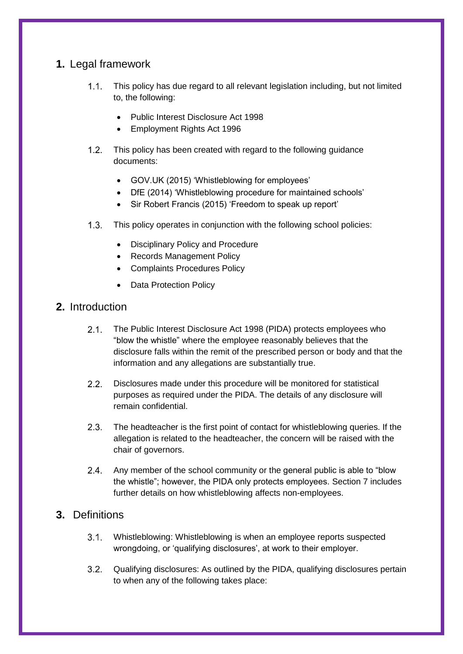## <span id="page-3-0"></span>**1.** Legal framework

- This policy has due regard to all relevant legislation including, but not limited  $1.1.$ to, the following:
	- Public Interest Disclosure Act 1998
	- Employment Rights Act 1996
- $1.2.$ This policy has been created with regard to the following guidance documents:
	- GOV.UK (2015) 'Whistleblowing for employees'
	- DfE (2014) 'Whistleblowing procedure for maintained schools'
	- Sir Robert Francis (2015) 'Freedom to speak up report'
- $1.3.$ This policy operates in conjunction with the following school policies:
	- Disciplinary Policy and Procedure
	- Records Management Policy
	- Complaints Procedures Policy
	- Data Protection Policy

## <span id="page-3-1"></span>**2.** Introduction

- $2.1.$ The Public Interest Disclosure Act 1998 (PIDA) protects employees who "blow the whistle" where the employee reasonably believes that the disclosure falls within the remit of the prescribed person or body and that the information and any allegations are substantially true.
- $2.2.$ Disclosures made under this procedure will be monitored for statistical purposes as required under the PIDA. The details of any disclosure will remain confidential.
- $2.3.$ The headteacher is the first point of contact for whistleblowing queries. If the allegation is related to the headteacher, the concern will be raised with the chair of governors.
- Any member of the school community or the general public is able to "blow  $2.4.$ the whistle"; however, the PIDA only protects employees. [Section 7](#page-6-1) includes further details on how whistleblowing affects non-employees.

## <span id="page-3-2"></span>**3.** Definitions

- $3.1 -$ Whistleblowing: Whistleblowing is when an employee reports suspected wrongdoing, or 'qualifying disclosures', at work to their employer.
- <span id="page-3-3"></span> $3.2.$ Qualifying disclosures: As outlined by the PIDA, qualifying disclosures pertain to when any of the following takes place: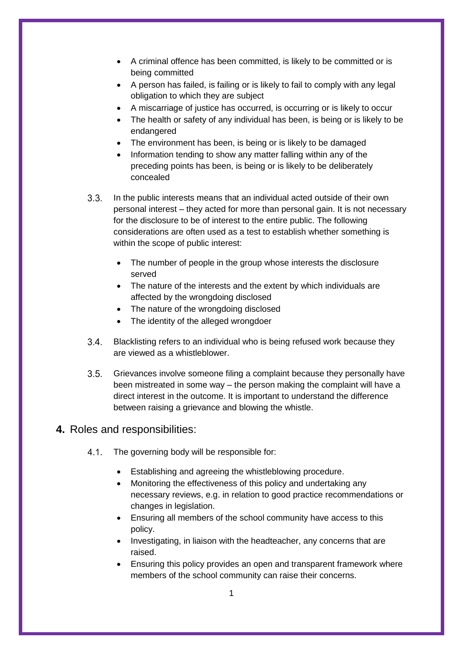- A criminal offence has been committed, is likely to be committed or is being committed
- A person has failed, is failing or is likely to fail to comply with any legal obligation to which they are subject
- A miscarriage of justice has occurred, is occurring or is likely to occur
- The health or safety of any individual has been, is being or is likely to be endangered
- The environment has been, is being or is likely to be damaged
- Information tending to show any matter falling within any of the preceding points has been, is being or is likely to be deliberately concealed
- <span id="page-4-1"></span> $3.3.$ In the public interests means that an individual acted outside of their own personal interest – they acted for more than personal gain. It is not necessary for the disclosure to be of interest to the entire public. The following considerations are often used as a test to establish whether something is within the scope of public interest:
	- The number of people in the group whose interests the disclosure served
	- The nature of the interests and the extent by which individuals are affected by the wrongdoing disclosed
	- The nature of the wrongdoing disclosed
	- The identity of the alleged wrongdoer
- $3.4.$ Blacklisting refers to an individual who is being refused work because they are viewed as a whistleblower.
- $3.5.$ Grievances involve someone filing a complaint because they personally have been mistreated in some way – the person making the complaint will have a direct interest in the outcome. It is important to understand the difference between raising a grievance and blowing the whistle.

#### <span id="page-4-0"></span>**4.** Roles and responsibilities:

- $4.1.$ The governing body will be responsible for:
	- Establishing and agreeing the whistleblowing procedure.
	- Monitoring the effectiveness of this policy and undertaking any necessary reviews, e.g. in relation to good practice recommendations or changes in legislation.
	- Ensuring all members of the school community have access to this policy.
	- Investigating, in liaison with the headteacher, any concerns that are raised.
	- Ensuring this policy provides an open and transparent framework where members of the school community can raise their concerns.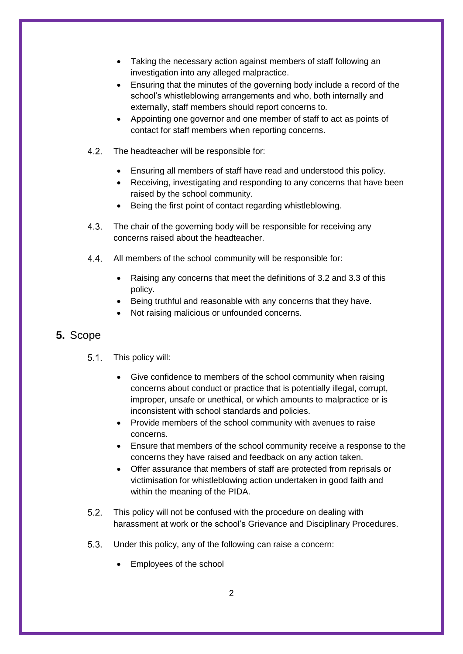- Taking the necessary action against members of staff following an investigation into any alleged malpractice.
- Ensuring that the minutes of the governing body include a record of the school's whistleblowing arrangements and who, both internally and externally, staff members should report concerns to.
- Appointing one governor and one member of staff to act as points of contact for staff members when reporting concerns.
- $4.2.$ The headteacher will be responsible for:
	- Ensuring all members of staff have read and understood this policy.
	- Receiving, investigating and responding to any concerns that have been raised by the school community.
	- Being the first point of contact regarding whistleblowing.
- $4.3.$ The chair of the governing body will be responsible for receiving any concerns raised about the headteacher.
- $4.4.$ All members of the school community will be responsible for:
	- Raising any concerns that meet the definitions of [3.2](#page-3-3) and [3.3](#page-4-1) of this policy.
	- Being truthful and reasonable with any concerns that they have.
	- Not raising malicious or unfounded concerns.

#### <span id="page-5-0"></span>**5.** Scope

- $5.1.$ This policy will:
	- Give confidence to members of the school community when raising concerns about conduct or practice that is potentially illegal, corrupt, improper, unsafe or unethical, or which amounts to malpractice or is inconsistent with school standards and policies.
	- Provide members of the school community with avenues to raise concerns.
	- Ensure that members of the school community receive a response to the concerns they have raised and feedback on any action taken.
	- Offer assurance that members of staff are protected from reprisals or victimisation for whistleblowing action undertaken in good faith and within the meaning of the PIDA.
- $5.2.$ This policy will not be confused with the procedure on dealing with harassment at work or the school's Grievance and Disciplinary Procedures.
- $5.3.$ Under this policy, any of the following can raise a concern:
	- Employees of the school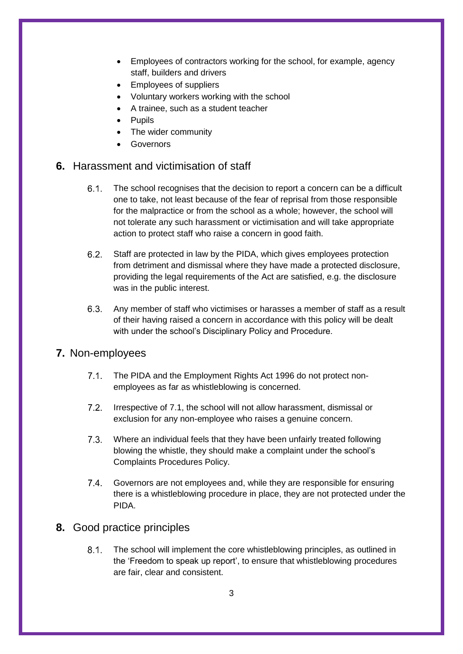- Employees of contractors working for the school, for example, agency staff, builders and drivers
- Employees of suppliers
- Voluntary workers working with the school
- A trainee, such as a student teacher
- Pupils
- The wider community
- Governors

#### <span id="page-6-0"></span>**6.** Harassment and victimisation of staff

- $6.1.$ The school recognises that the decision to report a concern can be a difficult one to take, not least because of the fear of reprisal from those responsible for the malpractice or from the school as a whole; however, the school will not tolerate any such harassment or victimisation and will take appropriate action to protect staff who raise a concern in good faith.
- $6.2.$ Staff are protected in law by the PIDA, which gives employees protection from detriment and dismissal where they have made a protected disclosure, providing the legal requirements of the Act are satisfied, e.g. the disclosure was in the public interest.
- $6.3.$ Any member of staff who victimises or harasses a member of staff as a result of their having raised a concern in accordance with this policy will be dealt with under the school's Disciplinary Policy and Procedure.

#### <span id="page-6-1"></span>**7.** Non-employees

- The PIDA and the Employment Rights Act 1996 do not protect non- $7.1.$ employees as far as whistleblowing is concerned.
- $7.2.$ Irrespective of 7.1, the school will not allow harassment, dismissal or exclusion for any non-employee who raises a genuine concern.
- $7.3.$ Where an individual feels that they have been unfairly treated following blowing the whistle, they should make a complaint under the school's Complaints Procedures Policy.
- $7.4.$ Governors are not employees and, while they are responsible for ensuring there is a whistleblowing procedure in place, they are not protected under the PIDA.

#### <span id="page-6-2"></span>**8.** Good practice principles

 $8.1.$ The school will implement the core whistleblowing principles, as outlined in the 'Freedom to speak up report', to ensure that whistleblowing procedures are fair, clear and consistent.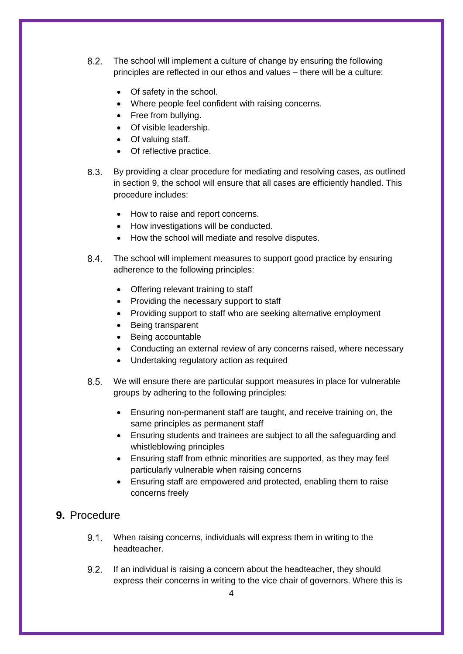- $8.2.$ The school will implement a culture of change by ensuring the following principles are reflected in our ethos and values – there will be a culture:
	- Of safety in the school.
	- Where people feel confident with raising concerns.
	- Free from bullving.
	- Of visible leadership.
	- Of valuing staff.
	- Of reflective practice.
- $8.3.$ By providing a clear procedure for mediating and resolving cases, as outlined in [section 9,](#page-7-0) the school will ensure that all cases are efficiently handled. This procedure includes:
	- How to raise and report concerns.
	- How investigations will be conducted.
	- How the school will mediate and resolve disputes.
- $8.4.$ The school will implement measures to support good practice by ensuring adherence to the following principles:
	- Offering relevant training to staff
	- Providing the necessary support to staff
	- Providing support to staff who are seeking alternative employment
	- Being transparent
	- Being accountable
	- Conducting an external review of any concerns raised, where necessary
	- Undertaking regulatory action as required
- $8.5.$ We will ensure there are particular support measures in place for vulnerable groups by adhering to the following principles:
	- Ensuring non-permanent staff are taught, and receive training on, the same principles as permanent staff
	- Ensuring students and trainees are subject to all the safeguarding and whistleblowing principles
	- Ensuring staff from ethnic minorities are supported, as they may feel particularly vulnerable when raising concerns
	- Ensuring staff are empowered and protected, enabling them to raise concerns freely

#### <span id="page-7-0"></span>**9.** Procedure

- $9.1.$ When raising concerns, individuals will express them in writing to the headteacher.
- $92$ If an individual is raising a concern about the headteacher, they should express their concerns in writing to the vice chair of governors. Where this is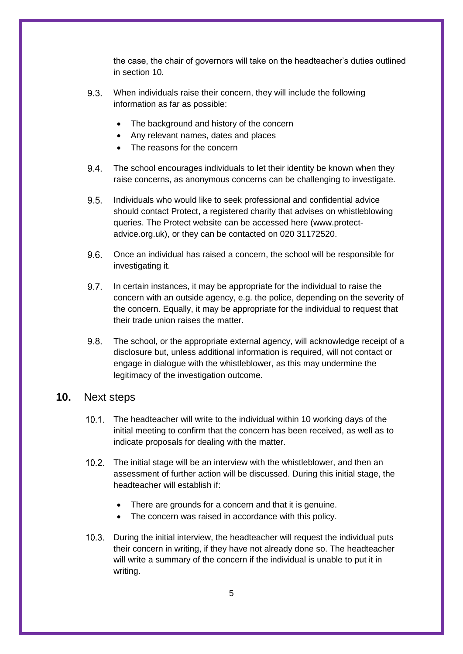the case, the chair of governors will take on the headteacher's duties outlined in [section 10.](#page-8-0)

- $9.3.$ When individuals raise their concern, they will include the following information as far as possible:
	- The background and history of the concern
	- Any relevant names, dates and places
	- The reasons for the concern
- $9.4.$ The school encourages individuals to let their identity be known when they raise concerns, as anonymous concerns can be challenging to investigate.
- $9.5.$ Individuals who would like to seek professional and confidential advice should contact Protect, a registered charity that advises on whistleblowing queries. The Protect website can be accessed [here](https://www.protect-advice.org.uk/) (www.protectadvice.org.uk), or they can be contacted on 020 31172520.
- $9.6.$ Once an individual has raised a concern, the school will be responsible for investigating it.
- $9.7.$ In certain instances, it may be appropriate for the individual to raise the concern with an outside agency, e.g. the police, depending on the severity of the concern. Equally, it may be appropriate for the individual to request that their trade union raises the matter.
- $9.8.$ The school, or the appropriate external agency, will acknowledge receipt of a disclosure but, unless additional information is required, will not contact or engage in dialogue with the whistleblower, as this may undermine the legitimacy of the investigation outcome.

#### <span id="page-8-0"></span>**10.** Next steps

- 10.1. The headteacher will write to the individual within 10 working days of the initial meeting to confirm that the concern has been received, as well as to indicate proposals for dealing with the matter.
- 10.2. The initial stage will be an interview with the whistleblower, and then an assessment of further action will be discussed. During this initial stage, the headteacher will establish if:
	- There are grounds for a concern and that it is genuine.
	- The concern was raised in accordance with this policy.
- During the initial interview, the headteacher will request the individual puts their concern in writing, if they have not already done so. The headteacher will write a summary of the concern if the individual is unable to put it in writing.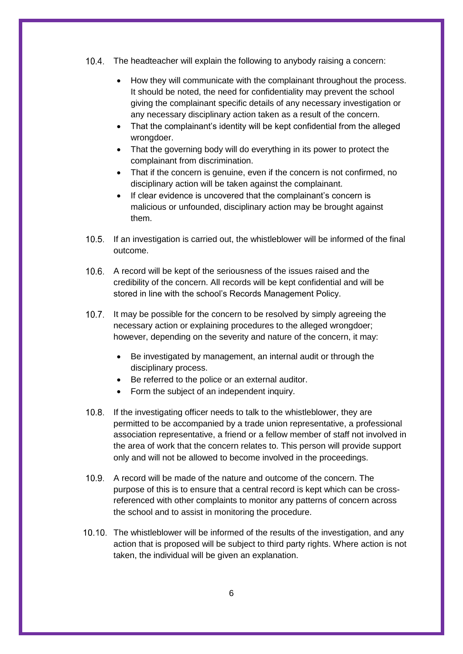- The headteacher will explain the following to anybody raising a concern:
	- How they will communicate with the complainant throughout the process. It should be noted, the need for confidentiality may prevent the school giving the complainant specific details of any necessary investigation or any necessary disciplinary action taken as a result of the concern.
	- That the complainant's identity will be kept confidential from the alleged wrongdoer.
	- That the governing body will do everything in its power to protect the complainant from discrimination.
	- That if the concern is genuine, even if the concern is not confirmed, no disciplinary action will be taken against the complainant.
	- If clear evidence is uncovered that the complainant's concern is malicious or unfounded, disciplinary action may be brought against them.
- 10.5. If an investigation is carried out, the whistleblower will be informed of the final outcome.
- 10.6. A record will be kept of the seriousness of the issues raised and the credibility of the concern. All records will be kept confidential and will be stored in line with the school's Records Management Policy.
- 10.7. It may be possible for the concern to be resolved by simply agreeing the necessary action or explaining procedures to the alleged wrongdoer; however, depending on the severity and nature of the concern, it may:
	- Be investigated by management, an internal audit or through the disciplinary process.
	- Be referred to the police or an external auditor.
	- Form the subject of an independent inquiry.
- 10.8. If the investigating officer needs to talk to the whistleblower, they are permitted to be accompanied by a trade union representative, a professional association representative, a friend or a fellow member of staff not involved in the area of work that the concern relates to. This person will provide support only and will not be allowed to become involved in the proceedings.
- A record will be made of the nature and outcome of the concern. The purpose of this is to ensure that a central record is kept which can be crossreferenced with other complaints to monitor any patterns of concern across the school and to assist in monitoring the procedure.
- 10.10. The whistleblower will be informed of the results of the investigation, and any action that is proposed will be subject to third party rights. Where action is not taken, the individual will be given an explanation.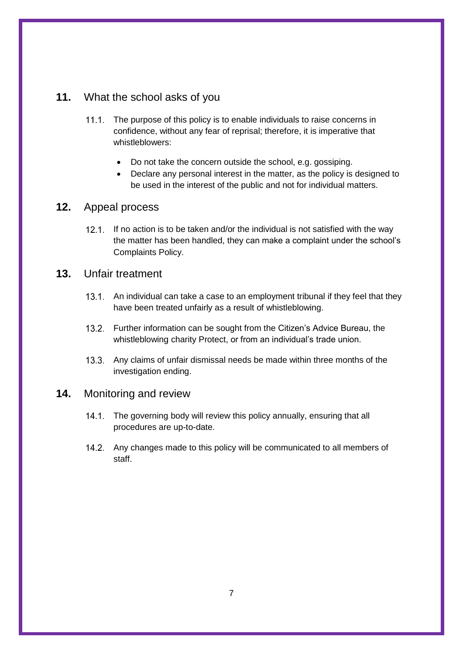## <span id="page-10-0"></span>**11.** What the school asks of you

- 11.1. The purpose of this policy is to enable individuals to raise concerns in confidence, without any fear of reprisal; therefore, it is imperative that whistleblowers:
	- Do not take the concern outside the school, e.g. gossiping.
	- Declare any personal interest in the matter, as the policy is designed to be used in the interest of the public and not for individual matters.

#### <span id="page-10-1"></span>**12.** Appeal process

If no action is to be taken and/or the individual is not satisfied with the way the matter has been handled, they can make a complaint under the school's Complaints Policy.

## <span id="page-10-2"></span>**13.** Unfair treatment

- 13.1. An individual can take a case to an employment tribunal if they feel that they have been treated unfairly as a result of whistleblowing.
- 13.2. Further information can be sought from the [Citizen's Advice Bureau,](https://www.citizensadvice.org.uk/) the whistleblowing charity [Protect,](http://www.pcaw.org.uk/) or from an individual's trade union.
- 13.3. Any claims of unfair dismissal needs be made within three months of the investigation ending.

#### <span id="page-10-3"></span>**14.** Monitoring and review

- 14.1. The governing body will review this policy annually, ensuring that all procedures are up-to-date.
- 14.2. Any changes made to this policy will be communicated to all members of staff.